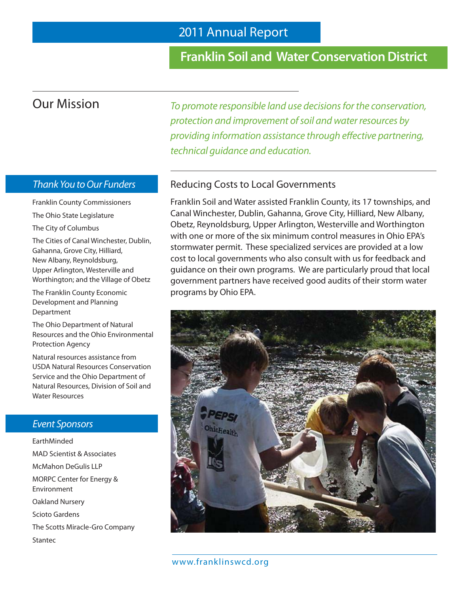### **Franklin Soil and Water Conservation District**

# Our Mission

Thank You to Our Funders

Franklin County Commissioners The Ohio State Legislature

The City of Columbus

The Cities of Canal Winchester, Dublin, Gahanna, Grove City, Hilliard, New Albany, Reynoldsburg, Upper Arlington, Westerville and Worthington; and the Village of Obetz

The Franklin County Economic Development and Planning Department

The Ohio Department of Natural Resources and the Ohio Environmental Protection Agency

Natural resources assistance from USDA Natural Resources Conservation Service and the Ohio Department of Natural Resources, Division of Soil and Water Resources

#### Event Sponsors

EarthMinded MAD Scientist & Associates McMahon DeGulis LLP MORPC Center for Energy & Environment Oakland Nursery Scioto Gardens The Scotts Miracle-Gro Company Stantec

To promote responsible land use decisions for the conservation, protection and improvement of soil and water resources by providing information assistance through effective partnering, technical guidance and education.

### Reducing Costs to Local Governments

Franklin Soil and Water assisted Franklin County, its 17 townships, and Canal Winchester, Dublin, Gahanna, Grove City, Hilliard, New Albany, Obetz, Reynoldsburg, Upper Arlington, Westerville and Worthington with one or more of the six minimum control measures in Ohio EPA's stormwater permit. These specialized services are provided at a low cost to local governments who also consult with us for feedback and guidance on their own programs. We are particularly proud that local government partners have received good audits of their storm water programs by Ohio EPA.

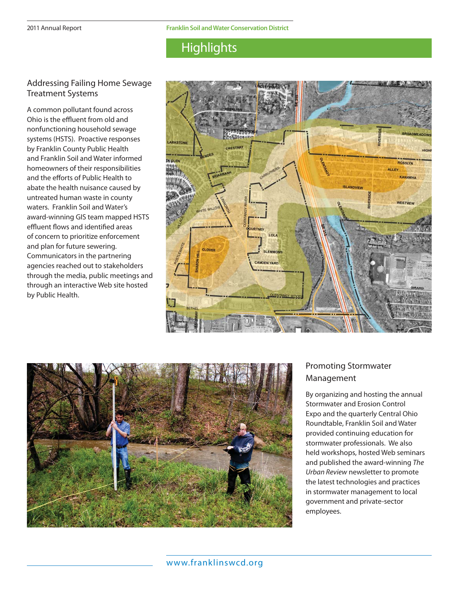## **Highlights**

#### Addressing Failing Home Sewage Treatment Systems

A common pollutant found across Ohio is the effluent from old and nonfunctioning household sewage systems (HSTS). Proactive responses by Franklin County Public Health and Franklin Soil and Water informed homeowners of their responsibilities and the efforts of Public Health to abate the health nuisance caused by untreated human waste in county waters. Franklin Soil and Water's award-winning GIS team mapped HSTS effluent flows and identified areas of concern to prioritize enforcement and plan for future sewering. Communicators in the partnering agencies reached out to stakeholders through the media, public meetings and through an interactive Web site hosted by Public Health.





### - Promoting Stormwater Management

By organizing and hosting the annual Stormwater and Erosion Control Expo and the quarterly Central Ohio Roundtable, Franklin Soil and Water provided continuing education for stormwater professionals. We also held workshops, hosted Web seminars and published the award-winning The Urban Review newsletter to promote the latest technologies and practices in stormwater management to local government and private-sector employees.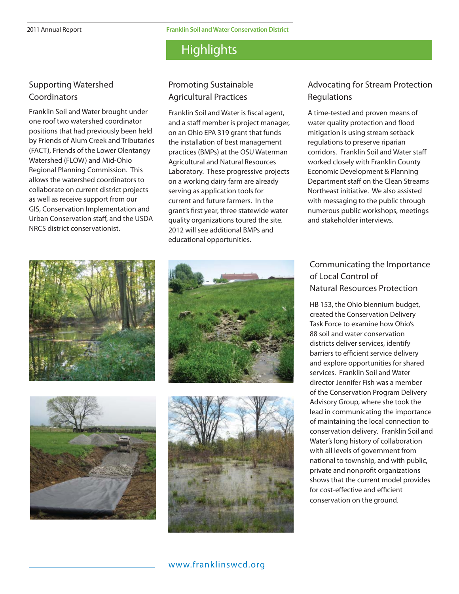Franklin Soil and Water is fiscal agent, and a staff member is project manager, on an Ohio EPA 319 grant that funds the installation of best management practices (BMPs) at the OSU Waterman Agricultural and Natural Resources Laboratory. These progressive projects on a working dairy farm are already serving as application tools for current and future farmers. In the grant's first year, three statewide water quality organizations toured the site. 2012 will see additional BMPs and educational opportunities.

### **Highlights**

Promoting Sustainable Agricultural Practices

#### Supporting Watershed **Coordinators**

Franklin Soil and Water brought under one roof two watershed coordinator positions that had previously been held by Friends of Alum Creek and Tributaries (FACT), Friends of the Lower Olentangy Watershed (FLOW) and Mid-Ohio Regional Planning Commission. This allows the watershed coordinators to collaborate on current district projects as well as receive support from our GIS, Conservation Implementation and Urban Conservation staff, and the USDA NRCS district conservationist.









### Advocating for Stream Protection Regulations

A time-tested and proven means of water quality protection and flood mitigation is using stream setback regulations to preserve riparian corridors. Franklin Soil and Water staff worked closely with Franklin County Economic Development & Planning Department staff on the Clean Streams Northeast initiative. We also assisted with messaging to the public through numerous public workshops, meetings and stakeholder interviews.

### Communicating the Importance of Local Control of Natural Resources Protection

HB 153, the Ohio biennium budget, created the Conservation Delivery Task Force to examine how Ohio's 88 soil and water conservation districts deliver services, identify barriers to efficient service delivery and explore opportunities for shared services. Franklin Soil and Water director Jennifer Fish was a member of the Conservation Program Delivery Advisory Group, where she took the lead in communicating the importance of maintaining the local connection to conservation delivery. Franklin Soil and Water's long history of collaboration with all levels of government from national to township, and with public, private and nonprofit organizations shows that the current model provides for cost-effective and efficient conservation on the ground.

www.franklinswcd.org